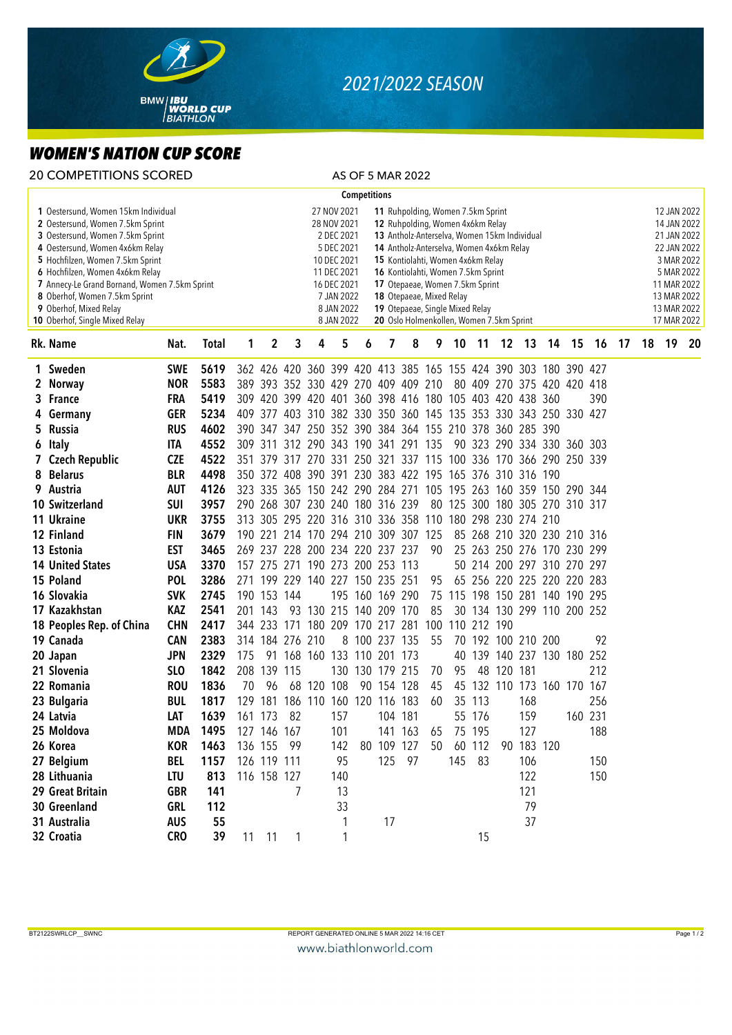

## *2021/2022 SEASON*

## *WOMEN'S NATION CUP SCORE*

| <b>20 COMPETITIONS SCORED</b>                                                                                                                                                                                                                                                                                                                                       |            |              |            |                                                                                                                                                                                                                                                                                                                                                                                                                                                                                                                                             |                 |                                                                 |     |                     |                 | AS OF 5 MAR 2022 |    |                                |        |            |                            |  |  |          |    |                                                                                                                                                  |    |    |  |
|---------------------------------------------------------------------------------------------------------------------------------------------------------------------------------------------------------------------------------------------------------------------------------------------------------------------------------------------------------------------|------------|--------------|------------|---------------------------------------------------------------------------------------------------------------------------------------------------------------------------------------------------------------------------------------------------------------------------------------------------------------------------------------------------------------------------------------------------------------------------------------------------------------------------------------------------------------------------------------------|-----------------|-----------------------------------------------------------------|-----|---------------------|-----------------|------------------|----|--------------------------------|--------|------------|----------------------------|--|--|----------|----|--------------------------------------------------------------------------------------------------------------------------------------------------|----|----|--|
|                                                                                                                                                                                                                                                                                                                                                                     |            |              |            |                                                                                                                                                                                                                                                                                                                                                                                                                                                                                                                                             |                 |                                                                 |     | <b>Competitions</b> |                 |                  |    |                                |        |            |                            |  |  |          |    |                                                                                                                                                  |    |    |  |
| 1 Oestersund, Women 15km Individual<br>2 Oestersund, Women 7.5km Sprint<br>3 Oestersund, Women 7.5km Sprint<br>4 Oestersund, Women 4x6km Relay<br>5 Hochfilzen, Women 7.5km Sprint<br>6 Hochfilzen, Women 4x6km Relay<br>7 Annecy-Le Grand Bornand, Women 7.5km Sprint<br>8 Oberhof, Women 7.5km Sprint<br>9 Oberhof, Mixed Relay<br>10 Oberhof, Single Mixed Relay |            |              |            | 27 NOV 2021<br>11 Ruhpolding, Women 7.5km Sprint<br>12 Ruhpolding, Women 4x6km Relay<br>28 NOV 2021<br>2 DEC 2021<br>13 Antholz-Anterselva, Women 15km Individual<br>5 DEC 2021<br>14 Antholz-Anterselva, Women 4x6km Relay<br>10 DEC 2021<br>15 Kontiolahti, Women 4x6km Relay<br>11 DEC 2021<br>16 Kontiolahti, Women 7.5km Sprint<br>16 DEC 2021<br>17 Otepaeae, Women 7.5km Sprint<br>7 JAN 2022<br>18 Otepaeae, Mixed Relay<br>8 JAN 2022<br>19 Otepaeae, Single Mixed Relay<br>8 JAN 2022<br>20 Oslo Holmenkollen, Women 7.5km Sprint |                 |                                                                 |     |                     |                 |                  |    |                                |        |            |                            |  |  |          |    | 12 JAN 2022<br>14 JAN 2022<br>21 JAN 2022<br>22 JAN 2022<br>3 MAR 2022<br>5 MAR 2022<br>11 MAR 2022<br>13 MAR 2022<br>13 MAR 2022<br>17 MAR 2022 |    |    |  |
| Rk. Name                                                                                                                                                                                                                                                                                                                                                            | Nat.       | <b>Total</b> | 1          | 2                                                                                                                                                                                                                                                                                                                                                                                                                                                                                                                                           | 3               | 4                                                               | 5   | 6                   | 7               | 8                | 9  | 10                             | $-11$  |            | 12 13                      |  |  | 14 15 16 | 17 | 18                                                                                                                                               | 19 | 20 |  |
| 1 Sweden                                                                                                                                                                                                                                                                                                                                                            | <b>SWE</b> | 5619         |            |                                                                                                                                                                                                                                                                                                                                                                                                                                                                                                                                             |                 | 362 426 420 360 399 420 413 385 165 155 424 390 303 180 390 427 |     |                     |                 |                  |    |                                |        |            |                            |  |  |          |    |                                                                                                                                                  |    |    |  |
| 2 Norway                                                                                                                                                                                                                                                                                                                                                            | <b>NOR</b> | 5583         |            |                                                                                                                                                                                                                                                                                                                                                                                                                                                                                                                                             |                 | 389 393 352 330 429 270 409 409 210                             |     |                     |                 |                  |    |                                |        |            | 80 409 270 375 420 420 418 |  |  |          |    |                                                                                                                                                  |    |    |  |
| 3 France                                                                                                                                                                                                                                                                                                                                                            | <b>FRA</b> | 5419         |            |                                                                                                                                                                                                                                                                                                                                                                                                                                                                                                                                             |                 | 309 420 399 420 401 360 398 416 180 105 403 420 438 360         |     |                     |                 |                  |    |                                |        |            |                            |  |  | 390      |    |                                                                                                                                                  |    |    |  |
| 4 Germany                                                                                                                                                                                                                                                                                                                                                           | <b>GER</b> | 5234         |            |                                                                                                                                                                                                                                                                                                                                                                                                                                                                                                                                             |                 | 409 377 403 310 382 330 350 360 145 135 353 330 343 250 330 427 |     |                     |                 |                  |    |                                |        |            |                            |  |  |          |    |                                                                                                                                                  |    |    |  |
| 5 Russia                                                                                                                                                                                                                                                                                                                                                            | <b>RUS</b> | 4602         |            |                                                                                                                                                                                                                                                                                                                                                                                                                                                                                                                                             |                 | 390 347 347 250 352 390 384 364 155 210 378 360 285 390         |     |                     |                 |                  |    |                                |        |            |                            |  |  |          |    |                                                                                                                                                  |    |    |  |
| 6 Italy                                                                                                                                                                                                                                                                                                                                                             | ITA        | 4552         |            |                                                                                                                                                                                                                                                                                                                                                                                                                                                                                                                                             |                 | 309 311 312 290 343 190 341 291 135                             |     |                     |                 |                  |    |                                |        |            | 90 323 290 334 330 360 303 |  |  |          |    |                                                                                                                                                  |    |    |  |
| 7 Czech Republic                                                                                                                                                                                                                                                                                                                                                    | <b>CZE</b> | 4522         |            |                                                                                                                                                                                                                                                                                                                                                                                                                                                                                                                                             |                 | 351 379 317 270 331 250 321 337 115 100 336 170 366 290 250 339 |     |                     |                 |                  |    |                                |        |            |                            |  |  |          |    |                                                                                                                                                  |    |    |  |
| 8 Belarus                                                                                                                                                                                                                                                                                                                                                           | <b>BLR</b> | 4498         |            |                                                                                                                                                                                                                                                                                                                                                                                                                                                                                                                                             |                 | 350 372 408 390 391 230 383 422 195 165 376 310 316 190         |     |                     |                 |                  |    |                                |        |            |                            |  |  |          |    |                                                                                                                                                  |    |    |  |
| 9 Austria                                                                                                                                                                                                                                                                                                                                                           | <b>AUT</b> | 4126         |            |                                                                                                                                                                                                                                                                                                                                                                                                                                                                                                                                             |                 | 323 335 365 150 242 290 284 271 105 195 263 160 359 150 290 344 |     |                     |                 |                  |    |                                |        |            |                            |  |  |          |    |                                                                                                                                                  |    |    |  |
| 10 Switzerland                                                                                                                                                                                                                                                                                                                                                      | <b>SUI</b> | 3957         |            |                                                                                                                                                                                                                                                                                                                                                                                                                                                                                                                                             |                 | 290 268 307 230 240 180 316 239                                 |     |                     |                 |                  |    | 80 125 300 180 305 270 310 317 |        |            |                            |  |  |          |    |                                                                                                                                                  |    |    |  |
| 11 Ukraine                                                                                                                                                                                                                                                                                                                                                          | <b>UKR</b> | 3755         |            |                                                                                                                                                                                                                                                                                                                                                                                                                                                                                                                                             |                 | 313 305 295 220 316 310 336 358 110 180 298 230 274 210         |     |                     |                 |                  |    |                                |        |            |                            |  |  |          |    |                                                                                                                                                  |    |    |  |
| 12 Finland                                                                                                                                                                                                                                                                                                                                                          | <b>FIN</b> | 3679         |            |                                                                                                                                                                                                                                                                                                                                                                                                                                                                                                                                             |                 | 190 221 214 170 294 210 309 307 125                             |     |                     |                 |                  |    |                                |        |            | 85 268 210 320 230 210 316 |  |  |          |    |                                                                                                                                                  |    |    |  |
| 13 Estonia                                                                                                                                                                                                                                                                                                                                                          | <b>EST</b> | 3465         |            |                                                                                                                                                                                                                                                                                                                                                                                                                                                                                                                                             |                 | 269 237 228 200 234 220 237 237                                 |     |                     |                 |                  | 90 |                                |        |            | 25 263 250 276 170 230 299 |  |  |          |    |                                                                                                                                                  |    |    |  |
| <b>14 United States</b>                                                                                                                                                                                                                                                                                                                                             | <b>USA</b> | 3370         |            |                                                                                                                                                                                                                                                                                                                                                                                                                                                                                                                                             |                 | 157 275 271 190 273 200 253 113                                 |     |                     |                 |                  |    |                                |        |            | 50 214 200 297 310 270 297 |  |  |          |    |                                                                                                                                                  |    |    |  |
| 15 Poland                                                                                                                                                                                                                                                                                                                                                           | <b>POL</b> | 3286         |            |                                                                                                                                                                                                                                                                                                                                                                                                                                                                                                                                             |                 | 271 199 229 140 227 150 235 251                                 |     |                     |                 |                  | 95 |                                |        |            | 65 256 220 225 220 220 283 |  |  |          |    |                                                                                                                                                  |    |    |  |
| 16 Slovakia                                                                                                                                                                                                                                                                                                                                                         | <b>SVK</b> | 2745         |            | 190 153 144                                                                                                                                                                                                                                                                                                                                                                                                                                                                                                                                 |                 |                                                                 |     |                     | 195 160 169 290 |                  |    | 75 115 198 150 281 140 190 295 |        |            |                            |  |  |          |    |                                                                                                                                                  |    |    |  |
| 17 Kazakhstan                                                                                                                                                                                                                                                                                                                                                       | KAZ        | 2541         |            | 201 143                                                                                                                                                                                                                                                                                                                                                                                                                                                                                                                                     |                 | 93 130 215 140 209 170                                          |     |                     |                 |                  | 85 |                                |        |            | 30 134 130 299 110 200 252 |  |  |          |    |                                                                                                                                                  |    |    |  |
| 18 Peoples Rep. of China                                                                                                                                                                                                                                                                                                                                            | <b>CHN</b> | 2417         |            |                                                                                                                                                                                                                                                                                                                                                                                                                                                                                                                                             |                 | 344 233 171 180 209 170 217 281                                 |     |                     |                 |                  |    | 100 110 212 190                |        |            |                            |  |  |          |    |                                                                                                                                                  |    |    |  |
| 19 Canada                                                                                                                                                                                                                                                                                                                                                           | <b>CAN</b> | 2383         |            |                                                                                                                                                                                                                                                                                                                                                                                                                                                                                                                                             | 314 184 276 210 |                                                                 |     |                     | 8 100 237 135   |                  | 55 |                                |        |            | 70 192 100 210 200         |  |  | 92       |    |                                                                                                                                                  |    |    |  |
| 20 Japan                                                                                                                                                                                                                                                                                                                                                            | <b>JPN</b> | 2329         | 175        |                                                                                                                                                                                                                                                                                                                                                                                                                                                                                                                                             |                 | 91 168 160 133 110 201 173                                      |     |                     |                 |                  |    |                                |        |            | 40 139 140 237 130 180 252 |  |  |          |    |                                                                                                                                                  |    |    |  |
| 21 Slovenia                                                                                                                                                                                                                                                                                                                                                         | <b>SLO</b> | 1842         | 208        | 139                                                                                                                                                                                                                                                                                                                                                                                                                                                                                                                                         | 115             |                                                                 |     |                     | 130 130 179 215 |                  | 70 | 95                             |        | 48 120 181 |                            |  |  | 212      |    |                                                                                                                                                  |    |    |  |
| 22 Romania                                                                                                                                                                                                                                                                                                                                                          | <b>ROU</b> | 1836         | 70         | 96                                                                                                                                                                                                                                                                                                                                                                                                                                                                                                                                          |                 | 68 120 108                                                      |     |                     | 90 154 128      |                  | 45 |                                |        |            | 45 132 110 173 160 170 167 |  |  |          |    |                                                                                                                                                  |    |    |  |
| 23 Bulgaria                                                                                                                                                                                                                                                                                                                                                         | <b>BUL</b> | 1817         |            |                                                                                                                                                                                                                                                                                                                                                                                                                                                                                                                                             |                 | 129 181 186 110 160 120 116 183                                 |     |                     |                 |                  | 60 |                                | 35 113 |            | 168                        |  |  | 256      |    |                                                                                                                                                  |    |    |  |
| 24 Latvia                                                                                                                                                                                                                                                                                                                                                           | LAT        | 1639         | 161 173 82 |                                                                                                                                                                                                                                                                                                                                                                                                                                                                                                                                             |                 |                                                                 | 157 |                     |                 | 104 181          |    |                                | 55 176 |            | 159                        |  |  | 160 231  |    |                                                                                                                                                  |    |    |  |
| 25 Moldova                                                                                                                                                                                                                                                                                                                                                          | MDA        | 1495         |            | 127 146 167                                                                                                                                                                                                                                                                                                                                                                                                                                                                                                                                 |                 |                                                                 | 101 |                     |                 | 141 163          | 65 |                                | 75 195 |            | 127                        |  |  | 188      |    |                                                                                                                                                  |    |    |  |
| 26 Korea                                                                                                                                                                                                                                                                                                                                                            | <b>KOR</b> | 1463         |            | 136 155 99                                                                                                                                                                                                                                                                                                                                                                                                                                                                                                                                  |                 |                                                                 | 142 |                     | 80 109 127      |                  | 50 |                                | 60 112 |            | 90 183 120                 |  |  |          |    |                                                                                                                                                  |    |    |  |
| 27 Belgium                                                                                                                                                                                                                                                                                                                                                          | BEL        | 1157         |            | 126 119 111                                                                                                                                                                                                                                                                                                                                                                                                                                                                                                                                 |                 |                                                                 | 95  |                     |                 | 125 97           |    |                                | 145 83 |            | 106                        |  |  | 150      |    |                                                                                                                                                  |    |    |  |
| 28 Lithuania                                                                                                                                                                                                                                                                                                                                                        | LTU        | 813          |            | 116 158 127                                                                                                                                                                                                                                                                                                                                                                                                                                                                                                                                 |                 |                                                                 | 140 |                     |                 |                  |    |                                |        |            | 122                        |  |  | 150      |    |                                                                                                                                                  |    |    |  |
| 29 Great Britain                                                                                                                                                                                                                                                                                                                                                    | <b>GBR</b> | 141          |            |                                                                                                                                                                                                                                                                                                                                                                                                                                                                                                                                             | 7               |                                                                 | 13  |                     |                 |                  |    |                                |        |            | 121                        |  |  |          |    |                                                                                                                                                  |    |    |  |
| 30 Greenland                                                                                                                                                                                                                                                                                                                                                        | GRL        | 112          |            |                                                                                                                                                                                                                                                                                                                                                                                                                                                                                                                                             |                 |                                                                 | 33  |                     |                 |                  |    |                                |        |            | 79                         |  |  |          |    |                                                                                                                                                  |    |    |  |
| 31 Australia                                                                                                                                                                                                                                                                                                                                                        | <b>AUS</b> | 55           |            |                                                                                                                                                                                                                                                                                                                                                                                                                                                                                                                                             |                 |                                                                 | 1   |                     | 17              |                  |    |                                |        |            | 37                         |  |  |          |    |                                                                                                                                                  |    |    |  |
| 32 Croatia                                                                                                                                                                                                                                                                                                                                                          | <b>CRO</b> | 39           |            | 11 11                                                                                                                                                                                                                                                                                                                                                                                                                                                                                                                                       |                 |                                                                 |     |                     |                 |                  |    |                                | 15     |            |                            |  |  |          |    |                                                                                                                                                  |    |    |  |